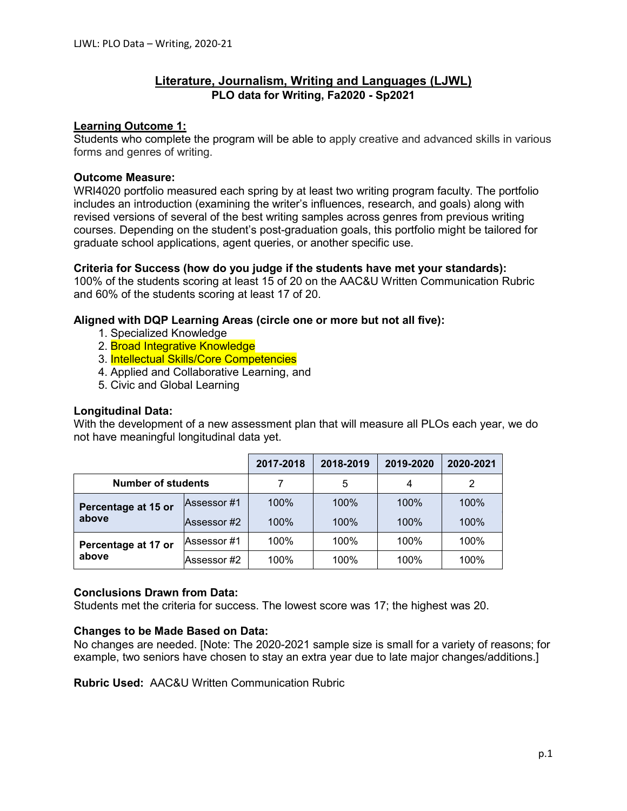# **Literature, Journalism, Writing and Languages (LJWL) PLO data for Writing, Fa2020 - Sp2021**

### **Learning Outcome 1:**

Students who complete the program will be able to apply creative and advanced skills in various forms and genres of writing.

### **Outcome Measure:**

WRI4020 portfolio measured each spring by at least two writing program faculty. The portfolio includes an introduction (examining the writer's influences, research, and goals) along with revised versions of several of the best writing samples across genres from previous writing courses. Depending on the student's post-graduation goals, this portfolio might be tailored for graduate school applications, agent queries, or another specific use.

### **Criteria for Success (how do you judge if the students have met your standards):**

100% of the students scoring at least 15 of 20 on the AAC&U Written Communication Rubric and 60% of the students scoring at least 17 of 20.

### **Aligned with DQP Learning Areas (circle one or more but not all five):**

- 1. Specialized Knowledge
- 2. **Broad Integrative Knowledge**
- 3. Intellectual Skills/Core Competencies
- 4. Applied and Collaborative Learning, and
- 5. Civic and Global Learning

### **Longitudinal Data:**

With the development of a new assessment plan that will measure all PLOs each year, we do not have meaningful longitudinal data yet.

|                              |             | 2017-2018 | 2018-2019 | 2019-2020 | 2020-2021 |
|------------------------------|-------------|-----------|-----------|-----------|-----------|
| <b>Number of students</b>    |             |           | 5         | 4         | 2         |
| Percentage at 15 or<br>above | Assessor #1 | 100%      | 100%      | 100%      | 100%      |
|                              | Assessor #2 | 100%      | 100%      | 100%      | 100%      |
| Percentage at 17 or<br>above | Assessor #1 | 100%      | 100%      | 100%      | 100%      |
|                              | Assessor #2 | 100%      | 100%      | 100%      | 100%      |

### **Conclusions Drawn from Data:**

Students met the criteria for success. The lowest score was 17; the highest was 20.

# **Changes to be Made Based on Data:**

No changes are needed. [Note: The 2020-2021 sample size is small for a variety of reasons; for example, two seniors have chosen to stay an extra year due to late major changes/additions.]

**Rubric Used:** AAC&U Written Communication Rubric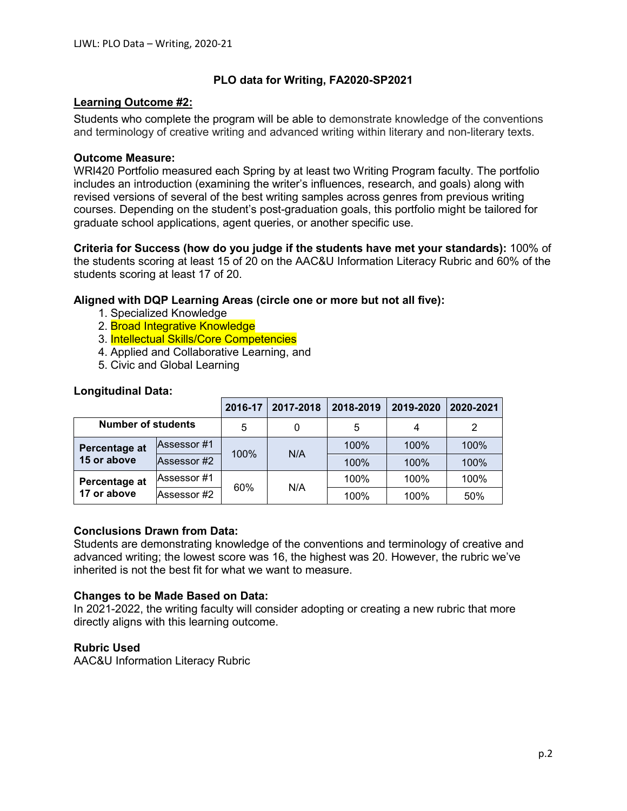### **PLO data for Writing, FA2020-SP2021**

### **Learning Outcome #2:**

Students who complete the program will be able to demonstrate knowledge of the conventions and terminology of creative writing and advanced writing within literary and non-literary texts.

### **Outcome Measure:**

WRI420 Portfolio measured each Spring by at least two Writing Program faculty. The portfolio includes an introduction (examining the writer's influences, research, and goals) along with revised versions of several of the best writing samples across genres from previous writing courses. Depending on the student's post-graduation goals, this portfolio might be tailored for graduate school applications, agent queries, or another specific use.

**Criteria for Success (how do you judge if the students have met your standards):** 100% of the students scoring at least 15 of 20 on the AAC&U Information Literacy Rubric and 60% of the students scoring at least 17 of 20.

# **Aligned with DQP Learning Areas (circle one or more but not all five):**

- 1. Specialized Knowledge
- 2. **Broad Integrative Knowledge**
- 3. Intellectual Skills/Core Competencies
- 4. Applied and Collaborative Learning, and
- 5. Civic and Global Learning

### **Longitudinal Data:**

|                              |              | 2016-17 | 2017-2018 | 2018-2019 | 2019-2020 | 2020-2021 |
|------------------------------|--------------|---------|-----------|-----------|-----------|-----------|
| <b>Number of students</b>    |              | 5       | 0         | 5         | 4         | 2         |
| Percentage at<br>15 or above | lAssessor #1 | 100%    | N/A       | 100%      | 100%      | 100%      |
|                              | Assessor #2  |         |           | 100%      | 100%      | 100%      |
| Percentage at<br>17 or above | Assessor #1  | 60%     | N/A       | 100%      | 100%      | 100%      |
|                              | Assessor #2  |         |           | 100%      | 100%      | 50%       |

### **Conclusions Drawn from Data:**

Students are demonstrating knowledge of the conventions and terminology of creative and advanced writing; the lowest score was 16, the highest was 20. However, the rubric we've inherited is not the best fit for what we want to measure.

### **Changes to be Made Based on Data:**

In 2021-2022, the writing faculty will consider adopting or creating a new rubric that more directly aligns with this learning outcome.

### **Rubric Used**

AAC&U Information Literacy Rubric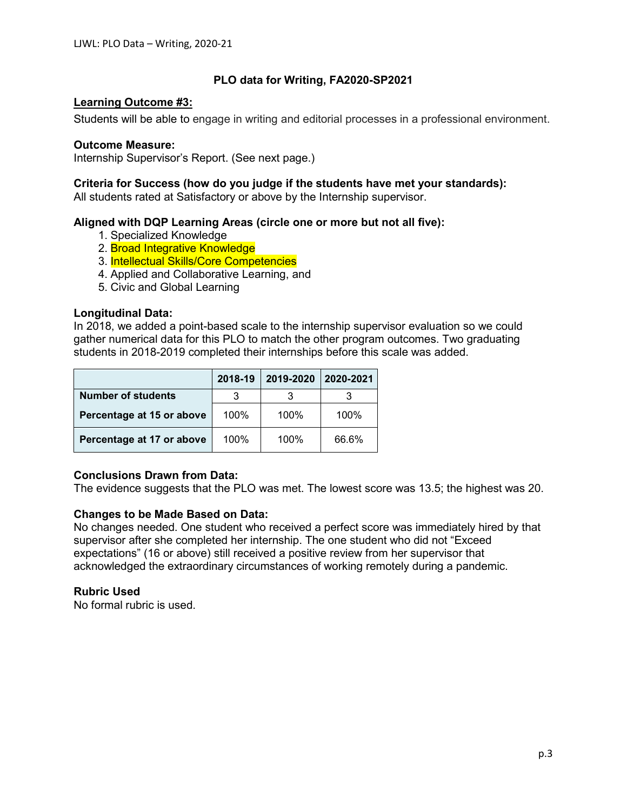# **PLO data for Writing, FA2020-SP2021**

# **Learning Outcome #3:**

Students will be able to engage in writing and editorial processes in a professional environment.

### **Outcome Measure:**

Internship Supervisor's Report. (See next page.)

# **Criteria for Success (how do you judge if the students have met your standards):**

All students rated at Satisfactory or above by the Internship supervisor.

# **Aligned with DQP Learning Areas (circle one or more but not all five):**

- 1. Specialized Knowledge
- 2. **Broad Integrative Knowledge**
- 3. Intellectual Skills/Core Competencies
- 4. Applied and Collaborative Learning, and
- 5. Civic and Global Learning

# **Longitudinal Data:**

In 2018, we added a point-based scale to the internship supervisor evaluation so we could gather numerical data for this PLO to match the other program outcomes. Two graduating students in 2018-2019 completed their internships before this scale was added.

|                           | 2018-19 | 2019-2020 | 2020-2021 |
|---------------------------|---------|-----------|-----------|
| <b>Number of students</b> | 3       |           |           |
| Percentage at 15 or above | 100%    | 100%      | 100%      |
| Percentage at 17 or above | 100%    | 100%      | 66.6%     |

# **Conclusions Drawn from Data:**

The evidence suggests that the PLO was met. The lowest score was 13.5; the highest was 20.

# **Changes to be Made Based on Data:**

No changes needed. One student who received a perfect score was immediately hired by that supervisor after she completed her internship. The one student who did not "Exceed expectations" (16 or above) still received a positive review from her supervisor that acknowledged the extraordinary circumstances of working remotely during a pandemic.

# **Rubric Used**

No formal rubric is used.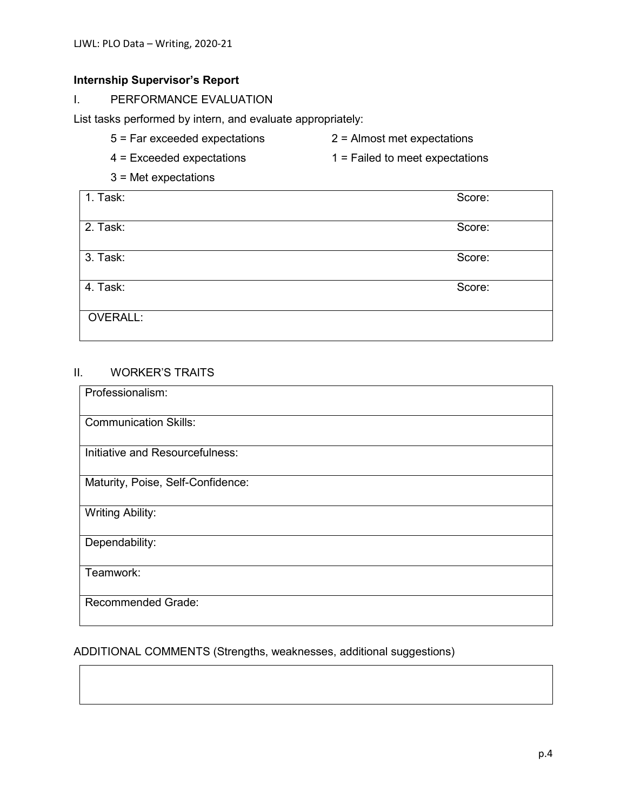# **Internship Supervisor's Report**

I. PERFORMANCE EVALUATION

List tasks performed by intern, and evaluate appropriately:

- 5 = Far exceeded expectations 2 = Almost met expectations
- 4 = Exceeded expectations 1 = Failed to meet expectations
- 3 = Met expectations

| 1. Task:        | Score: |
|-----------------|--------|
| 2. Task:        | Score: |
| 3. Task:        | Score: |
| 4. Task:        | Score: |
| <b>OVERALL:</b> |        |

# II. WORKER'S TRAITS

| Professionalism:                  |
|-----------------------------------|
| <b>Communication Skills:</b>      |
| Initiative and Resourcefulness:   |
| Maturity, Poise, Self-Confidence: |
| <b>Writing Ability:</b>           |
| Dependability:                    |
| Teamwork:                         |
| <b>Recommended Grade:</b>         |

# ADDITIONAL COMMENTS (Strengths, weaknesses, additional suggestions)